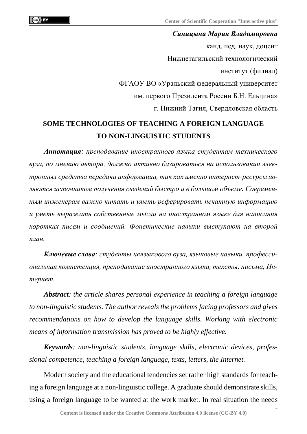*Синицына Мария Владимировна* канд. пед. наук, доцент Нижнетагильский технологический институт (филиал) ФГАОУ ВО «Уральский федеральный университет им. первого Президента России Б.Н. Ельцина» г. Нижний Тагил, Свердловская область

## **SOME TECHNOLOGIES OF TEACHING A FOREIGN LANGUAGE TO NON-LINGUISTIC STUDENTS**

*Аннотация: преподавание иностранного языка студентам технического вуза, по мнению автора, должно активно базироваться на использовании электронных средства передачи информации, так как именно интернет-ресурсы являются источником получения сведений быстро и в большом объеме. Современным инженерам важно читать и уметь реферировать печатную информацию и уметь выражать собственные мысли на иностранном языке для написания коротких писем и сообщений. Фонетические навыки выступают на второй план.*

*Ключевые слова: студенты неязыкового вуза, языковые навыки, профессиональная компетенция, преподавание иностранного языка, тексты, письма, Интернет.*

*Abstract: the article shares personal experience in teaching a foreign language to non-linguistic students. The author reveals the problems facing professors and gives recommendations on how to develop the language skills. Working with electronic means of information transmission has proved to be highly effective.*

*Keywords: non-linguistic students, language skills, electronic devices, professional competence, teaching a foreign language, texts, letters, the Internet.*

Modern society and the educational tendencies set rather high standards for teaching a foreign language at a non-linguistic college. A graduate should demonstrate skills, using a foreign language to be wanted at the work market. In real situation the needs

**1**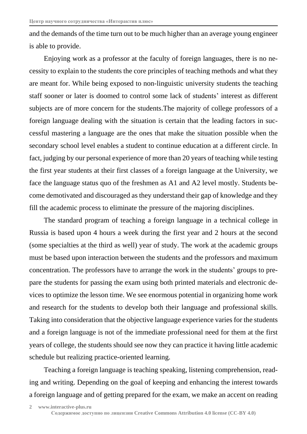and the demands of the time turn out to be much higher than an average young engineer is able to provide.

Enjoying work as a professor at the faculty of foreign languages, there is no necessity to explain to the students the core principles of teaching methods and what they are meant for. While being exposed to non-linguistic university students the teaching staff sooner or later is doomed to control some lack of students' interest as different subjects are of more concern for the students.The majority of college professors of a foreign language dealing with the situation is certain that the leading factors in successful mastering a language are the ones that make the situation possible when the secondary school level enables a student to continue education at a different circle. In fact, judging by our personal experience of more than 20 years of teaching while testing the first year students at their first classes of a foreign language at the University, we face the language status quo of the freshmen as A1 and A2 level mostly. Students become demotivated and discouraged as they understand their gap of knowledge and they fill the academic process to eliminate the pressure of the majoring disciplines.

The standard program of teaching a foreign language in a technical college in Russia is based upon 4 hours a week during the first year and 2 hours at the second (some specialties at the third as well) year of study. The work at the academic groups must be based upon interaction between the students and the professors and maximum concentration. The professors have to arrange the work in the students' groups to prepare the students for passing the exam using both printed materials and electronic devices to optimize the lesson time. We see enormous potential in organizing home work and research for the students to develop both their language and professional skills. Taking into consideration that the objective language experience varies for the students and a foreign language is not of the immediate professional need for them at the first years of college, the students should see now they can practice it having little academic schedule but realizing practice-oriented learning.

Teaching a foreign language is teaching speaking, listening comprehension, reading and writing. Depending on the goal of keeping and enhancing the interest towards a foreign language and of getting prepared for the exam, we make an accent on reading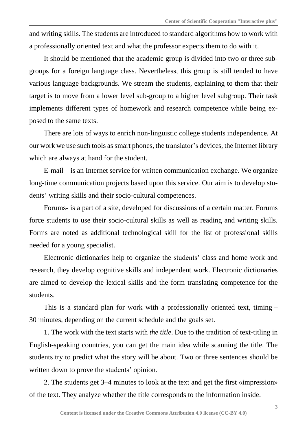and writing skills. The students are introduced to standard algorithms how to work with a professionally oriented text and what the professor expects them to do with it.

It should be mentioned that the academic group is divided into two or three subgroups for a foreign language class. Nevertheless, this group is still tended to have various language backgrounds. We stream the students, explaining to them that their target is to move from a lower level sub-group to a higher level subgroup. Their task implements different types of homework and research competence while being exposed to the same texts.

There are lots of ways to enrich non-linguistic college students independence. At our work we use such tools assmart phones, the translator's devices, the Internet library which are always at hand for the student.

E-mail – is an Internet service for written communication exchange. We organize long-time communication projects based upon this service. Our aim is to develop students' writing skills and their socio-cultural competences.

Forums- is a part of a site, developed for discussions of a certain matter. Forums force students to use their socio-cultural skills as well as reading and writing skills. Forms are noted as additional technological skill for the list of professional skills needed for a young specialist.

Electronic dictionaries help to organize the students' class and home work and research, they develop cognitive skills and independent work. Electronic dictionaries are aimed to develop the lexical skills and the form translating competence for the students.

This is a standard plan for work with a professionally oriented text, timing – 30 minutes, depending on the current schedule and the goals set.

1. The work with the text starts with *the title*. Due to the tradition of text-titling in English-speaking countries, you can get the main idea while scanning the title. The students try to predict what the story will be about. Two or three sentences should be written down to prove the students' opinion.

2. The students get 3–4 minutes to look at the text and get the first «impression» of the text. They analyze whether the title corresponds to the information inside.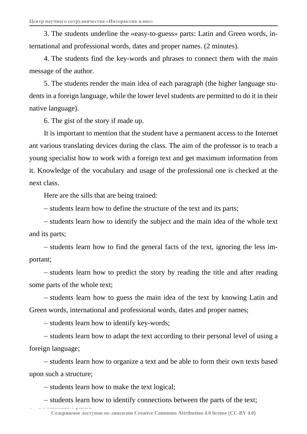3. The students underline the «easy-to-guess» parts: Latin and Green words, international and professional words, dates and proper names. (2 minutes).

4. The students find the key-words and phrases to connect them with the main message of the author.

5. The students render the main idea of each paragraph (the higher language students in a foreign language, while the lower level students are permitted to do it in their native language).

6. The gist of the story if made up.

It is important to mention that the student have a permanent access to the Internet ant various translating devices during the class. The aim of the professor is to teach a young specialist how to work with a foreign text and get maximum information from it. Knowledge of the vocabulary and usage of the professional one is checked at the next class.

Here are the sills that are being trained:

- students learn how to define the structure of the text and its parts;

- students learn how to identify the subject and the main idea of the whole text and its parts;

- students learn how to find the general facts of the text, ignoring the less important;

- students learn how to predict the story by reading the title and after reading some parts of the whole text;

- students learn how to guess the main idea of the text by knowing Latin and Green words, international and professional words, dates and proper names;

- students learn how to identify key-words;

- students learn how to adapt the text according to their personal level of using a foreign language;

- students learn how to organize a text and be able to form their own texts based upon such a structure;

- students learn how to make the text logical;

**4 www.interactive-plus.ru**

- students learn how to identify connections between the parts of the text;

**Содержимое доступно по лицензии Creative Commons Attribution 4.0 license (CC-BY 4.0)**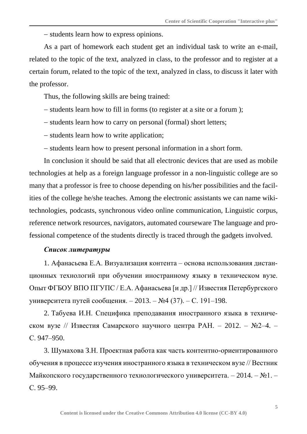$-$  students learn how to express opinions.

As a part of homework each student get an individual task to write an e-mail, related to the topic of the text, analyzed in class, to the professor and to register at a certain forum, related to the topic of the text, analyzed in class, to discuss it later with the professor.

Thus, the following skills are being trained:

- students learn how to fill in forms (to register at a site or a forum );
- students learn how to carry on personal (formal) short letters;
- students learn how to write application;
- students learn how to present personal information in a short form.

In conclusion it should be said that all electronic devices that are used as mobile technologies at help as a foreign language professor in a non-linguistic college are so many that a professor is free to choose depending on his/her possibilities and the facilities of the college he/she teaches. Among the electronic assistants we can name wikitechnologies, podcasts, synchronous video online communication, Linguistic corpus, reference network resources, navigators, automated courseware The language and professional competence of the students directly is traced through the gadgets involved.

## *Список литературы*

1. Афанасьева Е.А. Визуализация контента – основа использования дистанционных технологий при обучении иностранному языку в техническом вузе. Опыт ФГБОУ ВПО ПГУПС / Е.А. Афанасьева [и др.] // Известия Петербургского университета путей сообщения. – 2013. – №4 (37). – С. 191–198.

2. Табуева И.Н. Специфика преподавания иностранного языка в техническом вузе // Известия Самарского научного центра РАН. – 2012. – №2–4. – С. 947–950.

3. Шумахова З.Н. Проектная работа как часть контентно-ориентированного обучения в процессе изучения иностранного языка в техническом вузе // Вестник Майкопского государственного технологического университета. – 2014. – №1. – С. 95–99.

**5**